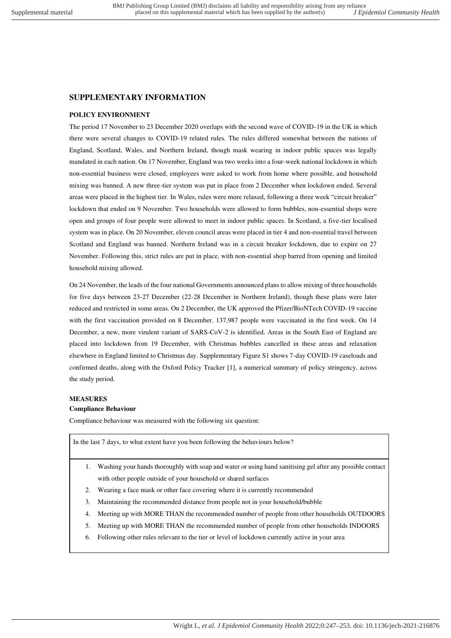# **SUPPLEMENTARY INFORMATION**

## **POLICY ENVIRONMENT**

The period 17 November to 23 December 2020 overlaps with the second wave of COVID-19 in the UK in which there were several changes to COVID-19 related rules. The rules differed somewhat between the nations of England, Scotland, Wales, and Northern Ireland, though mask wearing in indoor public spaces was legally mandated in each nation. On 17 November, England was two weeks into a four-week national lockdown in which non-essential business were closed, employees were asked to work from home where possible, and household mixing was banned. A new three-tier system was put in place from 2 December when lockdown ended. Several areas were placed in the highest tier. In Wales, rules were more relaxed, following a three week "circuit breaker" lockdown that ended on 9 November. Two households were allowed to form bubbles, non-essential shops were open and groups of four people were allowed to meet in indoor public spaces. In Scotland, a five-tier localised system was in place. On 20 November, eleven council areas were placed in tier 4 and non-essential travel between Scotland and England was banned. Northern Ireland was in a circuit breaker lockdown, due to expire on 27 November. Following this, strict rules are put in place, with non-essential shop barred from opening and limited household mixing allowed.

On 24 November, the leads of the four national Governments announced plans to allow mixing of three households for five days between 23-27 December (22-28 December in Northern Ireland), though these plans were later reduced and restricted in some areas. On 2 December, the UK approved the Pfizer/BioNTech COVID-19 vaccine with the first vaccination provided on 8 December. 137,987 people were vaccinated in the first week. On 14 December, a new, more virulent variant of SARS-CoV-2 is identified. Areas in the South East of England are placed into lockdown from 19 December, with Christmas bubbles cancelled in these areas and relaxation elsewhere in England limited to Christmas day. Supplementary Figure S1 shows 7-day COVID-19 caseloads and confirmed deaths, along with the Oxford Policy Tracker [1], a numerical summary of policy stringency, across the study period.

## **MEASURES**

# **Compliance Behaviour**

Compliance behaviour was measured with the following six question:

In the last 7 days, to what extent have you been following the behaviours below?

- 1. Washing your hands thoroughly with soap and water or using hand sanitising gel after any possible contact with other people outside of your household or shared surfaces
- 2. Wearing a face mask or other face covering where it is currently recommended
- 3. Maintaining the recommended distance from people not in your household/bubble
- 4. Meeting up with MORE THAN the recommended number of people from other households OUTDOORS
- 5. Meeting up with MORE THAN the recommended number of people from other households INDOORS
- 6. Following other rules relevant to the tier or level of lockdown currently active in your area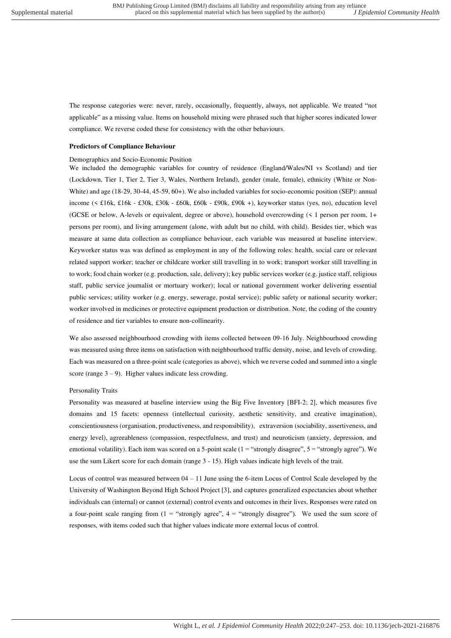The response categories were: never, rarely, occasionally, frequently, always, not applicable. We treated "not applicable" as a missing value. Items on household mixing were phrased such that higher scores indicated lower compliance. We reverse coded these for consistency with the other behaviours.

#### **Predictors of Compliance Behaviour**

#### Demographics and Socio-Economic Position

We included the demographic variables for country of residence (England/Wales/NI vs Scotland) and tier (Lockdown, Tier 1, Tier 2, Tier 3, Wales, Northern Ireland), gender (male, female), ethnicity (White or Non-White) and age (18-29, 30-44, 45-59, 60+). We also included variables for socio-economic position (SEP): annual income (< £16k, £16k - £30k, £30k - £60k, £60k - £90k, £90k +), keyworker status (yes, no), education level (GCSE or below, A-levels or equivalent, degree or above), household overcrowding (< 1 person per room, 1+ persons per room), and living arrangement (alone, with adult but no child, with child). Besides tier, which was measure at same data collection as compliance behaviour, each variable was measured at baseline interview. Keyworker status was was defined as employment in any of the following roles: health, social care or relevant related support worker; teacher or childcare worker still travelling in to work; transport worker still travelling in to work; food chain worker (e.g. production, sale, delivery); key public services worker (e.g. justice staff, religious staff, public service journalist or mortuary worker); local or national government worker delivering essential public services; utility worker (e.g. energy, sewerage, postal service); public safety or national security worker; worker involved in medicines or protective equipment production or distribution. Note, the coding of the country of residence and tier variables to ensure non-collinearity.

We also assessed neighbourhood crowding with items collected between 09-16 July. Neighbourhood crowding was measured using three items on satisfaction with neighbourhood traffic density, noise, and levels of crowding. Each was measured on a three-point scale (categories as above), which we reverse coded and summed into a single score (range  $3 - 9$ ). Higher values indicate less crowding.

#### Personality Traits

Personality was measured at baseline interview using the Big Five Inventory [BFI-2; 2], which measures five domains and 15 facets: openness (intellectual curiosity, aesthetic sensitivity, and creative imagination), conscientiousness (organisation, productiveness, and responsibility), extraversion (sociability, assertiveness, and energy level), agreeableness (compassion, respectfulness, and trust) and neuroticism (anxiety, depression, and emotional volatility). Each item was scored on a 5-point scale (1 = "strongly disagree", 5 = "strongly agree"). We use the sum Likert score for each domain (range 3 - 15). High values indicate high levels of the trait.

Locus of control was measured between 04 – 11 June using the 6-item Locus of Control Scale developed by the University of Washington Beyond High School Project [3], and captures generalized expectancies about whether individuals can (internal) or cannot (external) control events and outcomes in their lives. Responses were rated on a four-point scale ranging from  $(1 -$  "strongly agree",  $4 -$  "strongly disagree"). We used the sum score of responses, with items coded such that higher values indicate more external locus of control.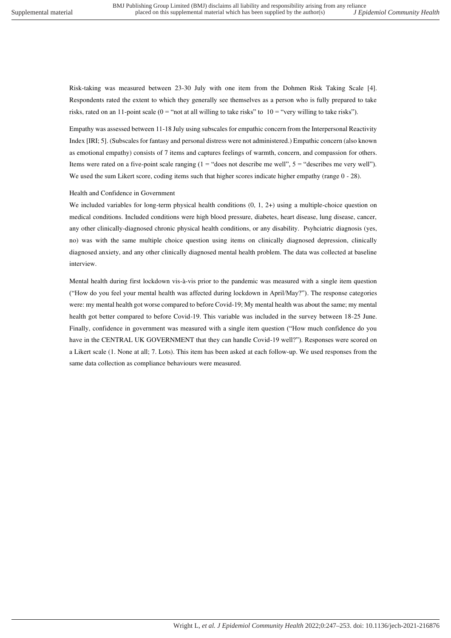Risk-taking was measured between 23-30 July with one item from the Dohmen Risk Taking Scale [4]. Respondents rated the extent to which they generally see themselves as a person who is fully prepared to take risks, rated on an 11-point scale ( $0 =$  "not at all willing to take risks" to  $10 =$  "very willing to take risks").

Empathy was assessed between 11-18 July using subscales for empathic concern from the Interpersonal Reactivity Index [IRI; 5]. (Subscales for fantasy and personal distress were not administered.) Empathic concern (also known as emotional empathy) consists of 7 items and captures feelings of warmth, concern, and compassion for others. Items were rated on a five-point scale ranging  $(1 = "does not describe me well", 5 = "describes me very well").$ We used the sum Likert score, coding items such that higher scores indicate higher empathy (range  $0 - 28$ ).

### Health and Confidence in Government

We included variables for long-term physical health conditions  $(0, 1, 2+)$  using a multiple-choice question on medical conditions. Included conditions were high blood pressure, diabetes, heart disease, lung disease, cancer, any other clinically-diagnosed chronic physical health conditions, or any disability. Psyhciatric diagnosis (yes, no) was with the same multiple choice question using items on clinically diagnosed depression, clinically diagnosed anxiety, and any other clinically diagnosed mental health problem. The data was collected at baseline interview.

Mental health during first lockdown vis-à-vis prior to the pandemic was measured with a single item question ("How do you feel your mental health was affected during lockdown in April/May?"). The response categories were: my mental health got worse compared to before Covid-19; My mental health was about the same; my mental health got better compared to before Covid-19. This variable was included in the survey between 18-25 June. Finally, confidence in government was measured with a single item question ("How much confidence do you have in the CENTRAL UK GOVERNMENT that they can handle Covid-19 well?"). Responses were scored on a Likert scale (1. None at all; 7. Lots). This item has been asked at each follow-up. We used responses from the same data collection as compliance behaviours were measured.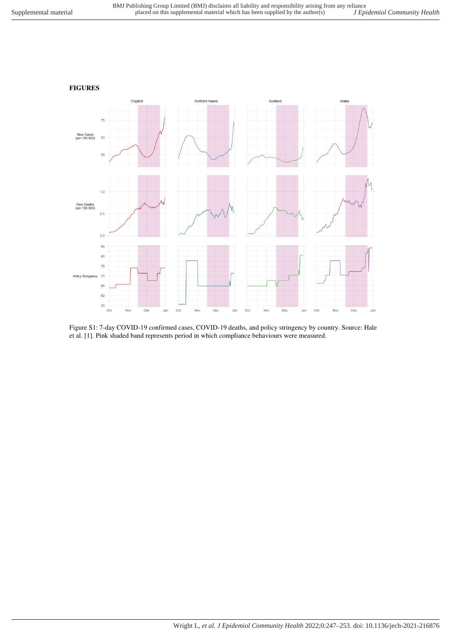

Figure S1: 7-day COVID-19 confirmed cases, COVID-19 deaths, and policy stringency by country. Source: Hale et al. [1]. Pink shaded band represents period in which compliance behaviours were measured.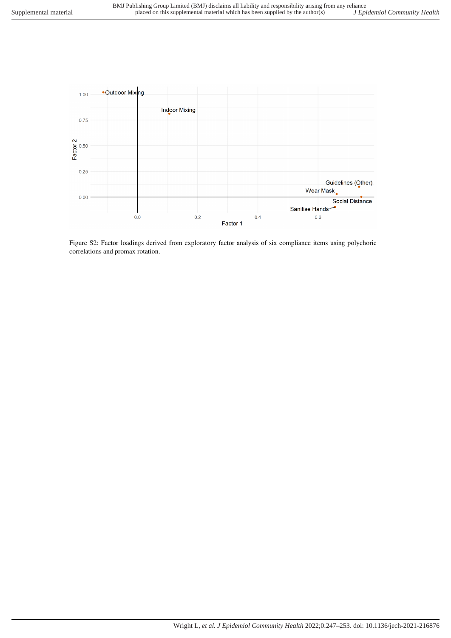

Figure S2: Factor loadings derived from exploratory factor analysis of six compliance items using polychoric correlations and promax rotation.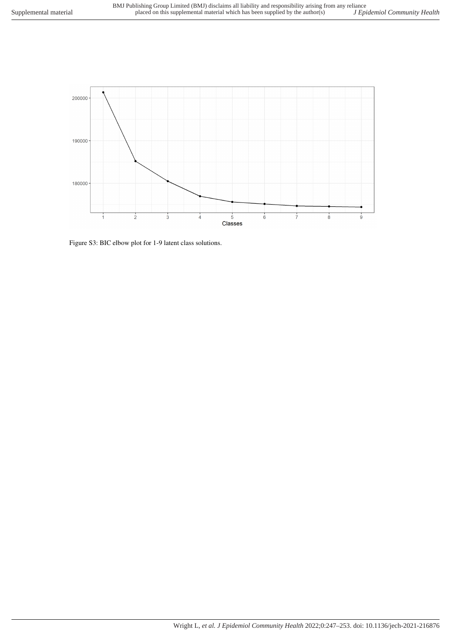

Figure S3: BIC elbow plot for 1-9 latent class solutions.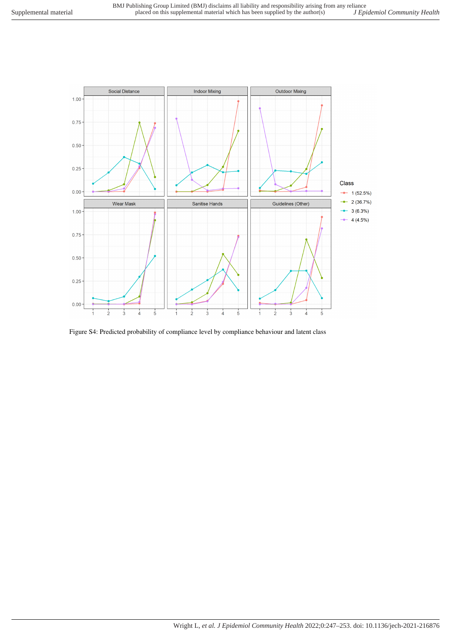

Figure S4: Predicted probability of compliance level by compliance behaviour and latent class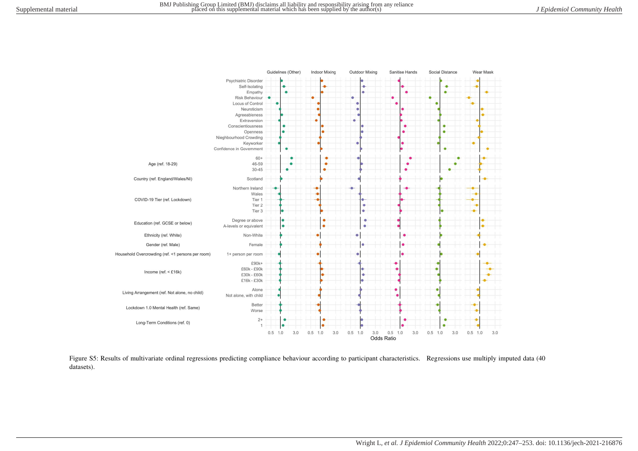

Figure S5: Results of multivariate ordinal regressions predicting compliance behaviour according to participant characteristics. Regressions use multiply imputed data (40 datasets).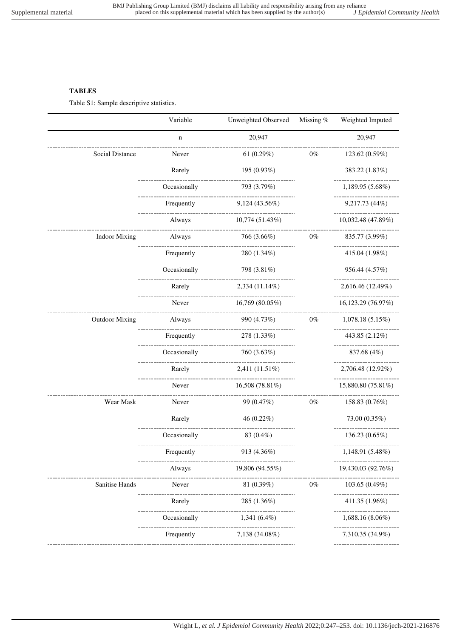# **TABLES**

Table S1: Sample descriptive statistics.

|                       | Variable                         | Unweighted Observed              | Missing % | Weighted Imputed                    |
|-----------------------|----------------------------------|----------------------------------|-----------|-------------------------------------|
|                       | $\mathbf n$                      | 20.947                           |           | 20,947                              |
| Social Distance       | ----------------<br>Never        | 61 $(0.29\%)$                    | $0\%$     | 123.62 (0.59%)                      |
|                       | Rarely                           | 195 (0.93%)                      |           | ----------------<br>383.22 (1.83%)  |
|                       | Occasionally                     | 793 (3.79%)                      |           | 1,189.95 (5.68%)                    |
|                       | Frequently                       | 9,124 (43.56%)                   |           | .<br>9,217.73 (44%)                 |
|                       | ----------------------<br>Always | 10,774 (51.43%)                  |           | 10,032.48 (47.89%)                  |
| <b>Indoor Mixing</b>  | Always                           | 766 (3.66%)                      | $0\%$     | 835.77 (3.99%)                      |
|                       | Frequently                       | .<br>280 (1.34%)                 |           | ---------------<br>415.04 (1.98%)   |
|                       | Occasionally                     | 798 (3.81%)                      |           | 956.44 (4.57%)                      |
|                       | Rarely                           | $2,334(11.14\%)$                 |           | 2,616.46 (12.49%)                   |
|                       | ________________<br>Never        | 16,769 (80.05%)                  |           | -------------<br>16,123.29 (76.97%) |
| <b>Outdoor Mixing</b> | Always                           | 990 (4.73%)                      | $0\%$     | 1,078.18(5.15%)                     |
|                       | Frequently                       | -----------------<br>278 (1.33%) |           | 443.85 (2.12%)                      |
|                       | Occasionally                     | ---------------<br>760 (3.63%)   |           | 837.68 (4%)                         |
|                       | ----------------<br>Rarely       | 2,411 (11.51%)                   |           | 2,706.48 (12.92%)                   |
|                       | _____________<br>Never           | 16,508 (78.81%)                  |           | -------------<br>15,880.80 (75.81%) |
| Wear Mask             | Never                            | 99 (0.47%)                       | $0\%$     | 158.83 (0.76%)                      |
|                       | Rarely                           | 46 (0.22%)                       |           | .<br>73.00 (0.35%)                  |
|                       | Occasionally                     | ----------------<br>83 $(0.4\%)$ |           | 136.23 (0.65%)                      |
|                       | Frequently                       | _____________<br>913 (4.36%)     |           | --------------<br>1,148.91 (5.48%)  |
|                       | Always                           | .<br>19,806 (94.55%)             |           | 19,430.03 (92.76%)                  |
| Sanitise Hands        | Never                            | _______________<br>81(0.39%)     | $0\%$     | 103.65(0.49%)                       |
|                       | Rarely                           | 285 (1.36%)                      |           | --------------<br>411.35 (1.96%)    |
|                       | Occasionally                     | $1,341(6.4\%)$                   |           | 1,688.16 (8.06%)                    |
|                       | Frequently                       | 7,138 (34.08%)                   |           | 7,310.35 (34.9%)                    |
|                       |                                  |                                  |           |                                     |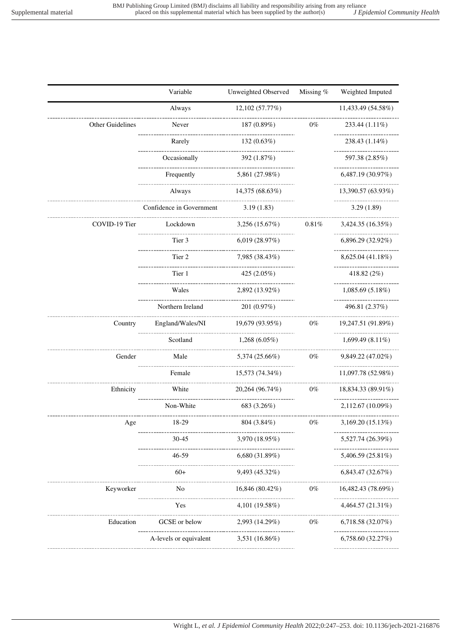|                                | Variable                       | Unweighted Observed                                   | Missing % | Weighted Imputed                                           |  |
|--------------------------------|--------------------------------|-------------------------------------------------------|-----------|------------------------------------------------------------|--|
|                                | Always                         | 12,102 (57.77%)                                       |           | 11,433.49 (54.58%)                                         |  |
| Other Guidelines               | Never                          | 187 (0.89%)                                           | 0%        | 233.44 (1.11%)                                             |  |
|                                | Rarely                         | -----------------------------------<br>132(0.63%)     |           | 238.43 (1.14%)                                             |  |
|                                | Occasionally                   | 392 (1.87%)                                           |           | 597.38 (2.85%)                                             |  |
|                                | ----------------<br>Frequently | 5,861 (27.98%)                                        |           | -----------------<br>6,487.19(30.97%)                      |  |
|                                | Always                         | 14,375 (68.63%)                                       |           | 13,390.57 (63.93%)                                         |  |
|                                | Confidence in Government       | 3.19(1.83)                                            |           | -------------<br>3.29(1.89)                                |  |
| COVID-19 Tier                  | ----------------<br>Lockdown   | 3,256 (15.67%)                                        | 0.81%     | 3,424.35 (16.35%)                                          |  |
|                                | -------------------<br>Tier 3  | 6,019(28.97%)                                         |           | 6,896.29 (32.92%)                                          |  |
|                                | ------------------<br>Tier 2   | 7,985 (38.43%)                                        |           | 8,625.04 (41.18%)                                          |  |
|                                | Tier 1                         | 425 (2.05%)                                           |           | 418.82 $(2\%)$                                             |  |
|                                | Wales                          | ___________________________________<br>2,892 (13.92%) |           | 1,085.69 (5.18%)                                           |  |
|                                | Northern Ireland               | 201 (0.97%)                                           |           | .<br>496.81 (2.37%)                                        |  |
| Country                        | England/Wales/NI               | 19,679 (93.95%)                                       | $0\%$     | 19,247.51 (91.89%)                                         |  |
|                                | ------------------<br>Scotland | $1,268(6.05\%)$                                       |           | 1,699.49 $(8.11\%)$                                        |  |
| Gender                         | Male                           | 5,374 (25.66%)<br>$0\%$                               |           | 9,849.22 (47.02%)                                          |  |
|                                | Female                         | 15,573 (74.34%)                                       |           | 11,097.78 (52.98%)                                         |  |
| Ethnicity                      | White                          | -----------------<br>20,264 (96.74%)<br>$0\%$         |           | ------------------<br>18,834.33 (89.91%)                   |  |
|                                | Non-White                      | 683 (3.26%)                                           |           | 2,112.67 (10.09%)                                          |  |
| Age                            | 18-29                          | 804 (3.84%)                                           | $0\%$     | 3,169.20 (15.13%)                                          |  |
|                                | $30 - 45$                      | 3,970 (18.95%)                                        |           | 5,527.74 (26.39%)                                          |  |
|                                | .<br>$46 - 59$                 | 6,680 (31.89%)                                        |           | 5,406.59 (25.81%)                                          |  |
|                                | .<br>$60+$                     | 9,493 (45.32%)                                        |           | 6,843.47 (32.67%)                                          |  |
| Keyworker                      | ----------------<br>No         | 16,846 (80.42%)                                       | $0\%$     | ------------------------------------<br>16,482.43 (78.69%) |  |
|                                | Yes                            | 4,101 (19.58%)                                        |           | 4,464.57 (21.31%)                                          |  |
| -----------------<br>Education | GCSE or below                  | 2,993 (14.29%)                                        | $0\%$     | 6,718.58 (32.07%)                                          |  |
|                                | A-levels or equivalent         | 3,531 (16.86%)                                        |           | .<br>6,758.60 (32.27%)                                     |  |
|                                |                                |                                                       |           |                                                            |  |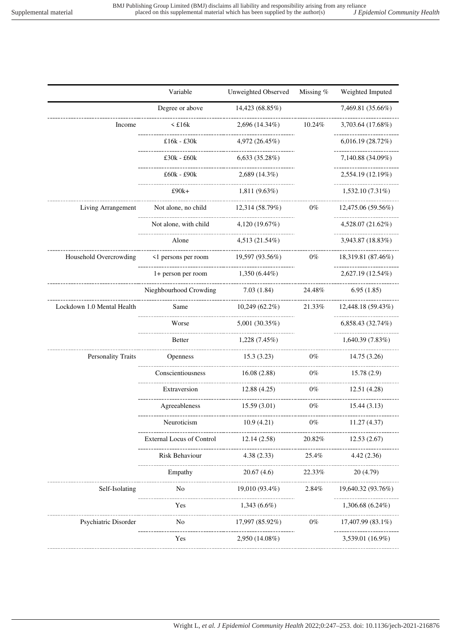|                                                        | Variable                             | Unweighted Observed                                  | Missing %  | Weighted Imputed                                  |
|--------------------------------------------------------|--------------------------------------|------------------------------------------------------|------------|---------------------------------------------------|
|                                                        | Degree or above                      | 14,423 (68.85%)                                      |            | 7,469.81 (35.66%)                                 |
| Income                                                 | $\leq$ £16 $k$                       | $2,696(14.34\%)$                                     | 10.24%     | 3,703.64 (17.68%)                                 |
|                                                        | £16 $k - 230k$                       | 4,972 (26.45%)                                       |            | -----------------<br>6,016.19 (28.72%)            |
|                                                        | $£30k - £60k$                        | 6,633(35.28%)                                        |            | 7,140.88 (34.09%)                                 |
|                                                        | £60k - £90k                          | $2,689(14.3\%)$                                      |            | -------------------<br>2,554.19 (12.19%)          |
|                                                        | -------------<br>£90k+               | $1,811(9.63\%)$                                      |            | ----------------<br>$1,532.10(7.31\%)$            |
| Living Arrangement                                     | Not alone, no child 12,314 (58.79%)  |                                                      | $0\%$      | ---------------------------<br>12,475.06 (59.56%) |
|                                                        | Not alone, with child                | 4,120(19.67%)                                        |            | ------------------<br>4,528.07 (21.62%)           |
|                                                        | Alone                                | 4,513 (21.54%)                                       |            | -------------------<br>3,943.87 (18.83%)          |
| Household Overcrowding                                 | <1 persons per room                  | 19,597 (93.56%)                                      | $0\%$      | 18,319.81 (87.46%)                                |
|                                                        |                                      | 1+ person per room $1,350(6.44\%)$                   |            | 2,627.19 (12.54%)                                 |
|                                                        | Nieghbourhood Crowding               | -----------------------<br>-----------<br>7.03(1.84) | 24.48%     | __________________<br>6.95(1.85)                  |
| Lockdown 1.0 Mental Health                             | Same                                 | 10,249 (62.2%)                                       |            | 21.33\% 12,448.18 (59.43\%)                       |
|                                                        | Worse                                | 5,001 (30.35%)                                       |            | ------------------<br>6,858.43 (32.74%)           |
|                                                        | <b>Better</b>                        | 1,228 (7.45%)                                        |            | ------------------<br>1,640.39(7.83%)             |
| Personality Traits                                     | <b>Openness</b>                      | 15.3(3.23)                                           | $0\%$      | 14.75 (3.26)                                      |
|                                                        | Conscientiousness                    | ------------------<br>16.08(2.88)                    | .<br>$0\%$ | 15.78(2.9)                                        |
|                                                        | --------------------<br>Extraversion | 12.88(4.25)                                          | $0\%$      | 12.51 (4.28)                                      |
|                                                        | Agreeableness                        | 15.59(3.01)                                          | $0\%$      | 15.44(3.13)                                       |
|                                                        | Neuroticism                          | 10.9(4.21)                                           | $0\%$      | 11.27(4.37)                                       |
|                                                        | <b>External Locus of Control</b>     | 12.14 (2.58)                                         | 20.82%     | 12.53(2.67)                                       |
|                                                        | Risk Behaviour                       | --------------<br>4.38(2.33)                         | 25.4%      | 4.42(2.36)                                        |
|                                                        | Empathy                              | 20.67(4.6)                                           | 22.33%     | 20(4.79)                                          |
| Self-Isolating                                         | N <sub>o</sub>                       | 19,010 (93.4%)                                       | $2.84\%$   | 19,640.32 (93.76%)                                |
|                                                        | Yes                                  | --------<br>$1,343(6.6\%)$                           |            | $1,306.68(6.24\%)$                                |
| ------------------------------<br>Psychiatric Disorder | _____________________<br>No n        | 17,997 (85.92%)                                      | $0\%$      | 17,407.99 (83.1%)                                 |
|                                                        | Yes                                  | 2,950 (14.08%)                                       |            | ------------------<br>3,539.01 (16.9%)            |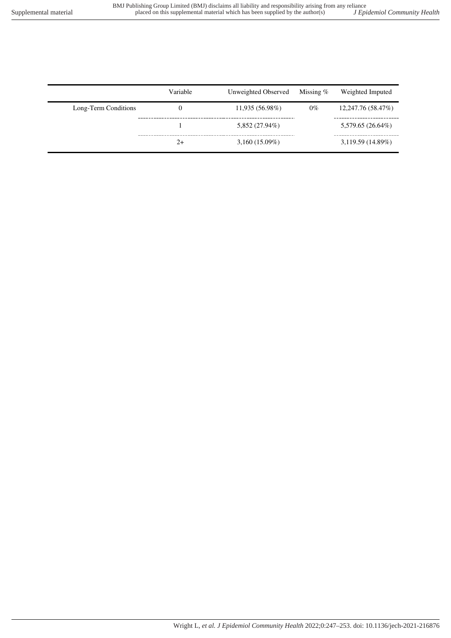|                      | Variable | Unweighted Observed | Missing $%$ | Weighted Imputed   |
|----------------------|----------|---------------------|-------------|--------------------|
| Long-Term Conditions | 0        | 11,935(56.98%)      | $0\%$       | 12,247.76 (58.47%) |
|                      |          | 5,852 (27.94%)      |             | 5,579.65 (26.64%)  |
|                      | $2+$     | $3,160(15.09\%)$    |             | 3,119.59(14.89%)   |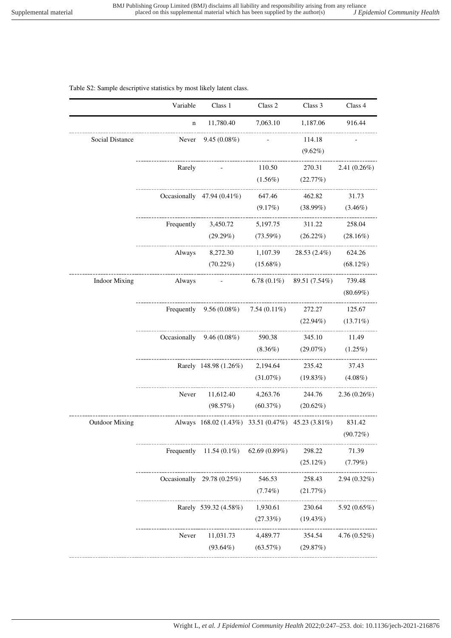### Table S2: Sample descriptive statistics by most likely latent class.

| 11,780.40<br>7,063.10<br>1,187.06<br>$\mathbf n$<br>_____________________________<br>Social Distance<br>Never<br>$9.45(0.08\%)$<br>114.18 | 916.44                 |
|-------------------------------------------------------------------------------------------------------------------------------------------|------------------------|
|                                                                                                                                           |                        |
| $(9.62\%)$                                                                                                                                |                        |
| Rarely<br>110.50<br>270.31                                                                                                                | $2.41(0.26\%)$         |
| $(1.56\%)$<br>(22.77%)                                                                                                                    |                        |
| Occasionally $47.94(0.41\%)$<br>647.46<br>462.82                                                                                          | 31.73                  |
| $(9.17\%)$                                                                                                                                | $(38.99\%)$ $(3.46\%)$ |
| Frequently $3,450.72$<br>5,197.75<br>311.22                                                                                               | 258.04                 |
| $(73.59\%)$ $(26.22\%)$ $(28.16\%)$<br>(29.29%)<br>---------------------<br>___________                                                   |                        |
| 8,272.30 1,107.39<br>Always                                                                                                               | 28.53 (2.4%) 624.26    |
| $(70.22\%)$ $(15.68\%)$                                                                                                                   | $(68.12\%)$            |
| --------------------------------------<br>6.78 $(0.1\%)$ 89.51 $(7.54\%)$<br><b>Indoor Mixing</b><br>Always<br><b>Contract Contract</b>   | 739.48                 |
|                                                                                                                                           | $(80.69\%)$            |
| Frequently $9.56(0.08\%)$ 7.54 $(0.11\%)$<br>272.27                                                                                       | 125.67                 |
| $(22.94\%)$                                                                                                                               | $(13.71\%)$            |
| Occasionally $9.46(0.08\%)$<br>590.38<br>345.10                                                                                           | 11.49                  |
| $(8.36\%)$                                                                                                                                | $(29.07\%)$ $(1.25\%)$ |
| 2,194.64 235.42<br>Rarely 148.98 (1.26%)                                                                                                  | 37.43                  |
| $(31.07\%)$                                                                                                                               | $(19.83\%)$ $(4.08\%)$ |
| Never<br>11,612.40<br>4,263.76 244.76                                                                                                     | $2.36(0.26\%)$         |
| (98.57%)<br>$(60.37%)$ $(20.62%)$                                                                                                         |                        |
| Always 168.02 (1.43%) 33.51 (0.47%) 45.23 (3.81%)<br><b>Outdoor Mixing</b>                                                                | 831.42                 |
|                                                                                                                                           | (90.72%)               |
| Frequently 11.54 $(0.1\%)$ 62.69 $(0.89\%)$<br>298.22                                                                                     | 71.39                  |
| $(25.12\%)$                                                                                                                               | (7.79%)                |
| Occasionally $29.78(0.25\%)$<br>546.53<br>258.43                                                                                          | $2.94(0.32\%)$         |
| $(7.74\%)$<br>(21.77%)                                                                                                                    |                        |
| Rarely 539.32 (4.58%)<br>1,930.61<br>230.64                                                                                               | 5.92 (0.65%)           |
| (27.33%)<br>$(19.43\%)$                                                                                                                   |                        |
| Never<br>11,031.73<br>354.54<br>4,489.77                                                                                                  | $4.76(0.52\%)$         |
| $(93.64\%)$<br>(63.57%)<br>(29.87%)                                                                                                       |                        |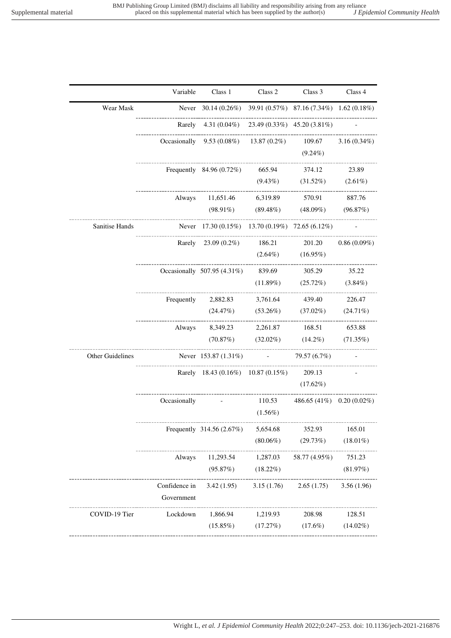|                  | Variable      | Class 1                                                                  | Class 2    | Class 3                                         | Class 4        |
|------------------|---------------|--------------------------------------------------------------------------|------------|-------------------------------------------------|----------------|
| Wear Mask        |               | Never $30.14 (0.26\%)$ $39.91 (0.57\%)$ $87.16 (7.34\%)$ $1.62 (0.18\%)$ |            |                                                 |                |
|                  |               | Rarely $4.31(0.04\%)$ $23.49(0.33\%)$ $45.20(3.81\%)$                    |            |                                                 |                |
|                  |               | Occasionally $9.53(0.08\%)$ $13.87(0.2\%)$ $109.67$ $3.16(0.34\%)$       |            |                                                 |                |
|                  |               |                                                                          |            | $(9.24\%)$                                      |                |
|                  |               | Frequently 84.96 (0.72%) 665.94 374.12 23.89                             |            |                                                 |                |
|                  |               |                                                                          |            | $(9.43\%)$ $(31.52\%)$ $(2.61\%)$               |                |
|                  |               | Always 11,651.46 6,319.89 570.91 887.76                                  |            |                                                 |                |
|                  |               |                                                                          |            | $(98.91\%)$ $(89.48\%)$ $(48.09\%)$ $(96.87\%)$ |                |
| Sanitise Hands   |               | Never 17.30 (0.15%) 13.70 (0.19%) 72.65 (6.12%)                          |            |                                                 |                |
|                  |               | Rarely 23.09 (0.2%) 186.21 201.20                                        |            |                                                 | $0.86(0.09\%)$ |
|                  |               |                                                                          |            | $(2.64\%)$ $(16.95\%)$                          |                |
|                  |               | Occasionally 507.95 (4.31%) 839.69 305.29                                |            |                                                 | 35.22          |
|                  |               |                                                                          |            | $(11.89\%)$ $(25.72\%)$ $(3.84\%)$              |                |
|                  |               | Frequently 2,882.83 3,761.64 439.40 226.47                               |            |                                                 |                |
|                  |               |                                                                          |            | $(24.47%)$ $(53.26%)$ $(37.02%)$ $(24.71%)$     |                |
|                  |               | Always 8,349.23 2,261.87 168.51 653.88                                   |            |                                                 |                |
|                  |               |                                                                          |            | (70.87%) (32.02%) (14.2%) (71.35%)              |                |
| Other Guidelines |               | Never $153.87(1.31\%)$ - $79.57(6.7\%)$                                  |            |                                                 |                |
|                  |               | Rarely 18.43 (0.16%) 10.87 (0.15%) 209.13                                |            |                                                 |                |
|                  |               |                                                                          |            | $(17.62\%)$                                     |                |
|                  |               | Occasionally $110.53$ $486.65 (41\%)$ $0.20 (0.02\%)$                    |            |                                                 |                |
|                  |               |                                                                          | $(1.56\%)$ |                                                 |                |
|                  |               | Frequently 314.56 (2.67%) 5,654.68 352.93 165.01                         |            |                                                 |                |
|                  |               |                                                                          |            | $(80.06\%)$ $(29.73\%)$                         | $(18.01\%)$    |
|                  | Always        |                                                                          |            | $11,293.54$ $1,287.03$ $58.77(4.95\%)$          | 751.23         |
|                  |               | $(95.87%)$ $(18.22%)$                                                    |            |                                                 | (81.97%)       |
|                  | Confidence in |                                                                          |            | $3.42(1.95)$ $3.15(1.76)$ $2.65(1.75)$          | 3.56(1.96)     |
|                  | Government    |                                                                          |            |                                                 |                |
| COVID-19 Tier    | Lockdown      |                                                                          |            | 1,866.94 1,219.93 208.98                        | 128.51         |
|                  |               |                                                                          |            | $(15.85\%)$ $(17.27\%)$ $(17.6\%)$ $(14.02\%)$  |                |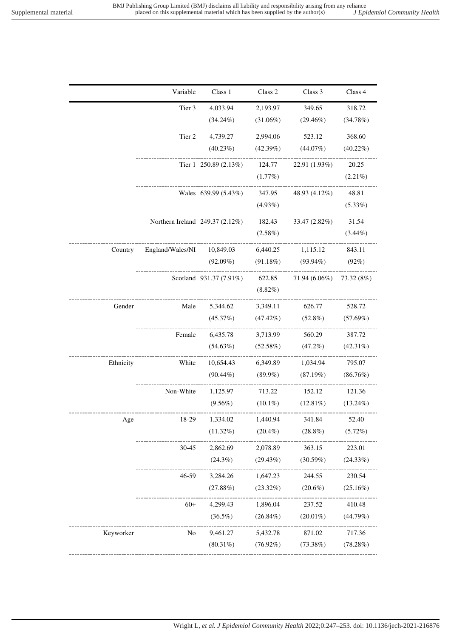|           | Variable                        | Class 1                 | Class 2     | Class 3       | Class 4     |
|-----------|---------------------------------|-------------------------|-------------|---------------|-------------|
|           | Tier 3                          | 4,033.94                | 2,193.97    | 349.65        | 318.72      |
|           |                                 | $(34.24\%)$             | $(31.06\%)$ | $(29.46\%)$   | (34.78%)    |
|           | Tier 2                          | 4,739.27                | 2,994.06    | 523.12        | 368.60      |
|           |                                 | $(40.23\%)$             | (42.39%)    | $(44.07\%)$   | $(40.22\%)$ |
|           |                                 | Tier 1 250.89 (2.13%)   | 124.77      | 22.91 (1.93%) | 20.25       |
|           |                                 |                         | (1.77%)     |               | $(2.21\%)$  |
|           |                                 | Wales 639.99 (5.43%)    | 347.95      | 48.93 (4.12%) | 48.81       |
|           |                                 |                         | $(4.93\%)$  |               | $(5.33\%)$  |
|           | Northern Ireland 249.37 (2.12%) |                         | 182.43      | 33.47 (2.82%) | 31.54       |
|           |                                 |                         | $(2.58\%)$  |               | $(3.44\%)$  |
| Country   | England/Wales/NI                | 10,849.03               | 6,440.25    | 1,115.12      | 843.11      |
|           |                                 | $(92.09\%)$             | (91.18%)    | $(93.94\%)$   | $(92\%)$    |
|           |                                 | Scotland 931.37 (7.91%) | 622.85      | 71.94 (6.06%) | 73.32 (8%)  |
|           |                                 |                         | $(8.82\%)$  |               |             |
| Gender    | Male                            | 5,344.62                | 3,349.11    | 626.77        | 528.72      |
|           |                                 | (45.37%)                | (47.42%)    | $(52.8\%)$    | (57.69%)    |
|           | Female                          | 6,435.78                | 3,713.99    | 560.29        | 387.72      |
|           |                                 | $(54.63\%)$             | $(52.58\%)$ | $(47.2\%)$    | $(42.31\%)$ |
| Ethnicity | White                           | 10,654.43               | 6,349.89    | 1,034.94      | 795.07      |
|           |                                 | $(90.44\%)$             | $(89.9\%)$  | (87.19%)      | (86.76%)    |
|           | Non-White                       | 1,125.97                | 713.22      | 152.12        | 121.36      |
|           |                                 | $(9.56\%)$              | $(10.1\%)$  | $(12.81\%)$   | $(13.24\%)$ |
| Δσρ       | 18.29                           | 1.334.02                | 1.44094     | 341 84        | 52.40       |

| Country   | England/Wales/NI | 10,849.03               | 6,440.25              | 1,115.12      | 843.11      |
|-----------|------------------|-------------------------|-----------------------|---------------|-------------|
|           |                  | $(92.09\%)$             | (91.18%)              | $(93.94\%)$   | (92%)       |
|           |                  | Scotland 931.37 (7.91%) | 622.85                | 71.94 (6.06%) | 73.32 (8%)  |
|           |                  |                         | $(8.82\%)$            |               |             |
| Gender    | Male             | 5,344.62                | ---------<br>3,349.11 | 626.77        | 528.72      |
|           |                  | (45.37%)                | $(47.42\%)$           | $(52.8\%)$    | $(57.69\%)$ |
|           | Female           | 6,435.78                | 3,713.99              | 560.29        | 387.72      |
|           |                  | (54.63%)                | (52.58%)              | (47.2%)       | $(42.31\%)$ |
| Ethnicity | White            | 10,654.43               | 6,349.89              | 1,034.94      | 795.07      |
|           |                  | $(90.44\%)$             | $(89.9\%)$            | (87.19%)      | $(86.76\%)$ |
|           | Non-White        | 1,125.97                | 713.22                | 152.12        | 121.36      |
|           |                  | $(9.56\%)$              | $(10.1\%)$            | $(12.81\%)$   | $(13.24\%)$ |
| Age       | 18-29            | 1,334.02                | 1,440.94              | 341.84        | 52.40       |
|           |                  | $(11.32\%)$             | $(20.4\%)$            | $(28.8\%)$    | $(5.72\%)$  |
|           | $30 - 45$        | 2,862.69                | 2,078.89              | 363.15        | 223.01      |
|           |                  | (24.3%)                 | (29.43%)              | (30.59%)      | (24.33%)    |
|           | 46-59            | 3,284.26                | 1,647.23              | 244.55        | 230.54      |
|           |                  | (27.88%)                | $(23.32\%)$           | $(20.6\%)$    | $(25.16\%)$ |
|           | $60+$            | 4,299.43                | 1,896.04              | 237.52        | 410.48      |
|           |                  | $(36.5\%)$              | $(26.84\%)$           | $(20.01\%)$   | (44.79%)    |
| Keyworker | No               | 9,461.27                | 5,432.78              | 871.02        | 717.36      |
|           |                  | $(80.31\%)$             | $(76.92\%)$           | (73.38%)      | (78.28%)    |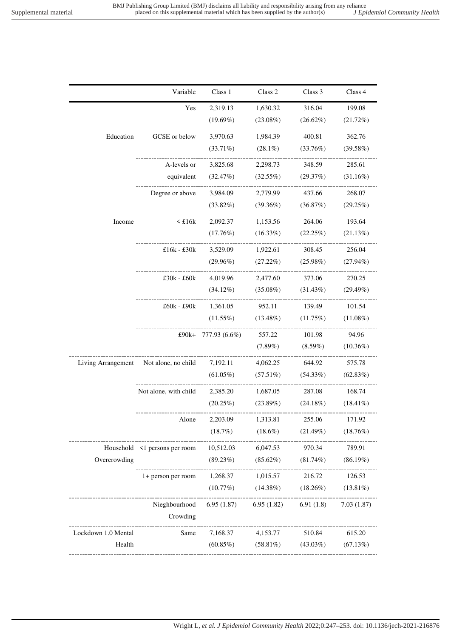|                     | Variable                          | Class 1       | Class 2         | Class 3     | Class 4     |
|---------------------|-----------------------------------|---------------|-----------------|-------------|-------------|
|                     | Yes                               | 2,319.13      | 1,630.32        | 316.04      | 199.08      |
|                     |                                   | $(19.69\%)$   | $(23.08\%)$     | $(26.62\%)$ | $(21.72\%)$ |
| Education           | GCSE or below                     | 3,970.63      | 1,984.39        | 400.81      | 362.76      |
|                     |                                   | $(33.71\%)$   | $(28.1\%)$      | (33.76%)    | (39.58%)    |
|                     | A-levels or                       | 3,825.68      | 2,298.73        | 348.59      | 285.61      |
|                     | equivalent                        | (32.47%)      | (32.55%)        | (29.37%)    | (31.16%)    |
|                     | Degree or above                   | 3,984.09      | 2,779.99        | 437.66      | 268.07      |
|                     |                                   | $(33.82\%)$   | $(39.36\%)$     | (36.87%)    | (29.25%)    |
| Income              | $\leq$ £16 $k$                    | 2,092.37      | 1,153.56        | 264.06      | 193.64      |
|                     |                                   | (17.76%)      | $(16.33\%)$     | $(22.25\%)$ | (21.13%)    |
|                     | £16 $k - £30k$                    | 3,529.09      | 1,922.61 308.45 |             | 256.04      |
|                     |                                   | $(29.96\%)$   | $(27.22\%)$     | $(25.98\%)$ | $(27.94\%)$ |
|                     | $£30k - £60k$                     | 4,019.96      | 2,477.60        | 373.06      | 270.25      |
|                     |                                   | $(34.12\%)$   | $(35.08\%)$     | $(31.43\%)$ | $(29.49\%)$ |
|                     | £60k - £90k 1,361.05              |               | 952.11          | 139.49      | 101.54      |
|                     |                                   | $(11.55\%)$   | $(13.48\%)$     | (11.75%)    | $(11.08\%)$ |
|                     | £90k+                             | 777.93 (6.6%) | 557.22          | 101.98      | 94.96       |
|                     |                                   |               | $(7.89\%)$      | $(8.59\%)$  | $(10.36\%)$ |
| Living Arrangement  | Not alone, no child               | 7,192.11      | 4,062.25        | 644.92      | 575.78      |
|                     |                                   | $(61.05\%)$   | $(57.51\%)$     | $(54.33\%)$ | $(62.83\%)$ |
|                     | Not alone, with child             | 2,385.20      | 1,687.05        | 287.08      | 168.74      |
|                     |                                   | $(20.25\%)$   | (23.89%)        | $(24.18\%)$ | $(18.41\%)$ |
|                     | Alone                             | 2,203.09      | 1,313.81        | 255.06      | 171.92      |
|                     |                                   | (18.7%)       | $(18.6\%)$      | $(21.49\%)$ | (18.76%)    |
|                     | Household <1 persons per room     | 10,512.03     | 6,047.53        | 970.34      | 789.91      |
| Overcrowding        | --------------------------------- | (89.23%)      | $(85.62\%)$     | $(81.74\%)$ | $(86.19\%)$ |
|                     | 1+ person per room                | 1,268.37      | 1,015.57        | 216.72      | 126.53      |
|                     | ______________                    | (10.77%)      | $(14.38\%)$     | $(18.26\%)$ | $(13.81\%)$ |
|                     | Nieghbourhood                     | 6.95(1.87)    | 6.95(1.82)      | 6.91(1.8)   | 7.03(1.87)  |
|                     | Crowding                          |               |                 |             |             |
| Lockdown 1.0 Mental | Same                              | 7,168.37      | 4,153.77        | 510.84      | 615.20      |
| Health              | ---------------------             | $(60.85\%)$   | $(58.81\%)$     | $(43.03\%)$ | (67.13%)    |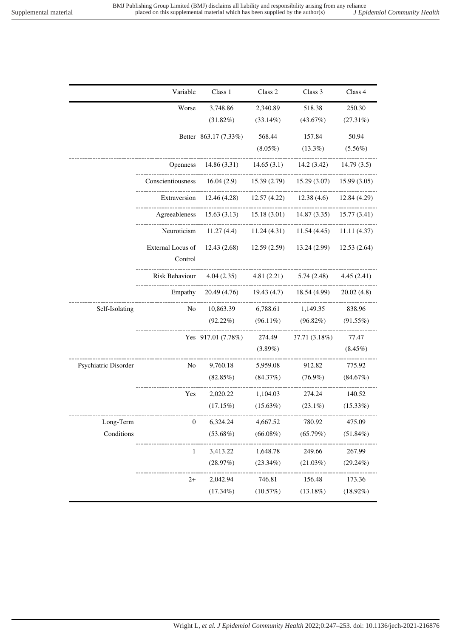|                      | Variable                     | Class 1                        | Class 2                      | Class 3                                   | Class 4      |
|----------------------|------------------------------|--------------------------------|------------------------------|-------------------------------------------|--------------|
|                      | Worse                        | 3,748.86                       | 2,340.89                     | 518.38                                    | 250.30       |
|                      |                              | $(31.82\%)$                    | $(33.14\%)$                  | (43.67%)                                  | $(27.31\%)$  |
|                      |                              | Better 863.17 (7.33%)          | 568.44                       | 157.84                                    | 50.94        |
|                      |                              |                                | $(8.05\%)$                   | $(13.3\%)$                                | $(5.56\%)$   |
|                      | <b>Openness</b>              | 14.86(3.31)                    | 14.65(3.1)                   | 14.2(3.42)                                | 14.79(3.5)   |
|                      | Conscientiousness            | 16.04(2.9)                     | 15.39(2.79)<br>------------- | 15.29(3.07)                               | 15.99(3.05)  |
|                      |                              | Extraversion $12.46(4.28)$     | $12.57(4.22)$ 12.38(4.6)     |                                           | 12.84 (4.29) |
|                      | Agreeableness                |                                |                              | $15.63(3.13)$ $15.18(3.01)$ $14.87(3.35)$ | 15.77(3.41)  |
|                      | Neuroticism                  | ----------------<br>11.27(4.4) | 11.24 (4.31)                 | $11.54(4.45)$ $11.11(4.37)$               |              |
|                      | External Locus of<br>Control | 12.43(2.68)                    | ---------<br>12.59(2.59)     | 13.24 (2.99)                              | 12.53(2.64)  |
|                      | Risk Behaviour               | 4.04(2.35)                     | 4.81(2.21)                   | 5.74(2.48)                                | 4.45(2.41)   |
|                      | Empathy                      | 20.49 (4.76)                   | 19.43(4.7)                   | 18.54 (4.99)                              | 20.02(4.8)   |
| Self-Isolating       | No                           | 10,863.39                      | 6,788.61                     | 1,149.35                                  | 838.96       |
|                      |                              | $(92.22\%)$                    | $(96.11\%)$                  | (96.82%)                                  | $(91.55\%)$  |
|                      |                              | Yes 917.01 (7.78%)             | 274.49                       | 37.71 (3.18%)                             | 77.47        |
|                      |                              |                                | $(3.89\%)$                   |                                           | $(8.45\%)$   |
| Psychiatric Disorder | No                           | 9,760.18                       | 5,959.08                     | 912.82                                    | 775.92       |
|                      |                              | (82.85%)                       | (84.37%)                     | $(76.9\%)$                                | (84.67%)     |
|                      | Yes                          | 2,020.22                       | 1,104.03                     | 274.24                                    | 140.52       |
|                      |                              | (17.15%)                       | $(15.63\%)$                  | $(23.1\%)$                                | $(15.33\%)$  |
| Long-Term            | $\boldsymbol{0}$             | 6,324.24                       | 4,667.52                     | 780.92                                    | 475.09       |
| Conditions           |                              | $(53.68\%)$                    | $(66.08\%)$                  | (65.79%)                                  | $(51.84\%)$  |
|                      | 1                            | 3,413.22                       | 1,648.78                     | 249.66                                    | 267.99       |
|                      |                              | (28.97%)                       | $(23.34\%)$                  | (21.03%)                                  | $(29.24\%)$  |
|                      | $2+$                         | 2,042.94                       | 746.81                       | 156.48                                    | 173.36       |
|                      |                              | $(17.34\%)$                    | (10.57%)                     | (13.18%)                                  | $(18.92\%)$  |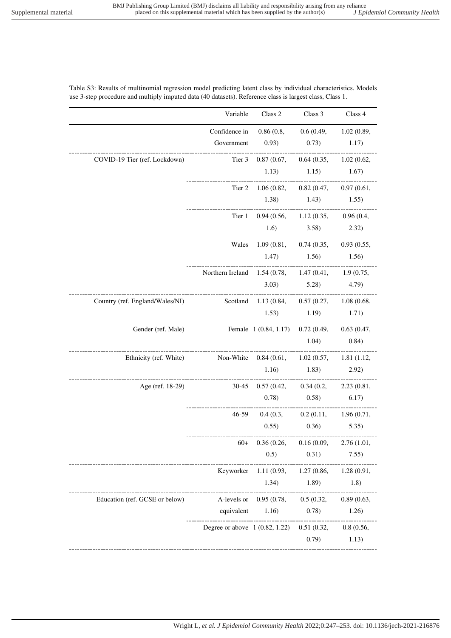### Table S3: Results of multinomial regression model predicting latent class by individual characteristics. Models use 3-step procedure and multiply imputed data (40 datasets). Reference class is largest class, Class 1.

|                                 | Variable                                            | Class 2                                      | Class 3                           | Class 4    |
|---------------------------------|-----------------------------------------------------|----------------------------------------------|-----------------------------------|------------|
|                                 | Confidence in                                       |                                              | 0.86(0.8, 0.6(0.49, 1.02(0.89,    |            |
|                                 | Government                                          | 0.93)                                        | $(0.73)$ 1.17)                    |            |
| COVID-19 Tier (ref. Lockdown)   | Tier 3                                              |                                              | 0.87(0.67, 0.64(0.35, 1.02(0.62,  |            |
|                                 |                                                     | 1.13)                                        | $1.15$ $1.67$                     |            |
|                                 | Tier 2                                              |                                              | 1.06(0.82, 0.82(0.47, 0.97(0.61,  |            |
|                                 |                                                     |                                              | $1.38$ $1.43$ $1.55$              |            |
|                                 |                                                     | Tier 1 0.94 (0.56, 1.12 (0.35, 0.96 (0.4,    |                                   |            |
|                                 |                                                     |                                              | $1.6)$ $3.58)$ $2.32)$            |            |
|                                 |                                                     | Wales 1.09 (0.81, 0.74 (0.35, 0.93 (0.55,    |                                   |            |
|                                 |                                                     |                                              | $1.47$ $1.56$ $1.56$              |            |
|                                 | Northern Ireland 1.54 (0.78, 1.47 (0.41, 1.9 (0.75, |                                              |                                   |            |
|                                 |                                                     |                                              | $(3.03)$ $(5.28)$ $(4.79)$        |            |
| Country (ref. England/Wales/NI) |                                                     | Scotland 1.13 (0.84, 0.57 (0.27, 1.08 (0.68, |                                   |            |
|                                 |                                                     | $1.53$ $1.19$ $1.71$                         |                                   |            |
| Gender (ref. Male)              | Female 1 (0.84, 1.17) 0.72 (0.49, 0.63 (0.47,       |                                              |                                   |            |
|                                 |                                                     |                                              | $1.04)$ 0.84)                     |            |
| Ethnicity (ref. White)          | Non-White 0.84 (0.61, 1.02 (0.57, 1.81 (1.12,       |                                              |                                   |            |
|                                 |                                                     |                                              | $1.16)$ $1.83)$                   | 2.92)      |
| Age (ref. 18-29)                | -----------------------                             | 30-45 0.57 (0.42, 0.34 (0.2, 2.23 (0.81,     |                                   |            |
|                                 |                                                     |                                              | $(0.78)$ $(0.58)$ $(6.17)$        |            |
|                                 |                                                     | $46-59$ 0.4 (0.3, 0.2 (0.11, 1.96 (0.71,     | --------------------------------- |            |
|                                 |                                                     |                                              | $(0.55)$ $(0.36)$ $(5.35)$        |            |
|                                 | $60+$                                               |                                              | 0.36(0.26, 0.16(0.09, 2.76(1.01,  |            |
|                                 |                                                     | 0.5)                                         | 0.31)                             | 7.55)      |
|                                 | Keyworker                                           | 1.11(0.93,                                   | 1.27(0.86,                        | 1.28(0.91, |
|                                 |                                                     | 1.34)                                        | 1.89)                             | 1.8)       |
| Education (ref. GCSE or below)  | A-levels or                                         | 0.95(0.78,                                   | 0.5(0.32,                         | 0.89(0.63, |
|                                 | equivalent                                          | 1.16)                                        | 0.78)                             | 1.26)      |
|                                 | Degree or above $1 (0.82, 1.22)$                    |                                              | 0.51(0.32,                        | 0.8(0.56,  |
|                                 |                                                     |                                              |                                   |            |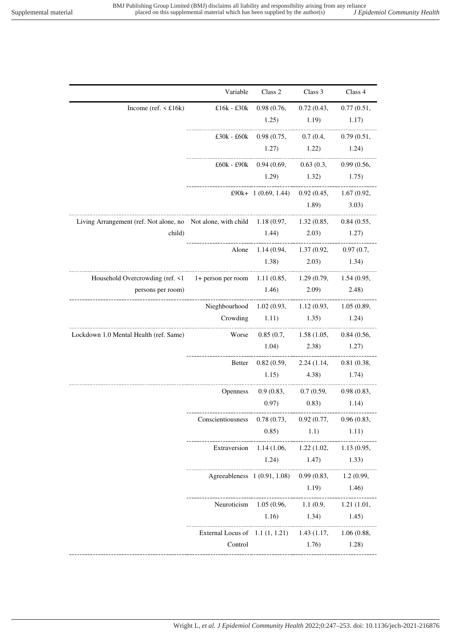|                                                                                                  | Variable                                                | Class 2                                             | Class 3                          | Class 4 |
|--------------------------------------------------------------------------------------------------|---------------------------------------------------------|-----------------------------------------------------|----------------------------------|---------|
| Income (ref. $\leq$ £16k)                                                                        |                                                         | £16k - £30k 0.98 (0.76, 0.72 (0.43, 0.77 (0.51,     |                                  |         |
|                                                                                                  |                                                         |                                                     | $1.25$ $1.19$ $1.17$             |         |
|                                                                                                  |                                                         | £30k - £60k 0.98 (0.75, 0.7 (0.4, 0.79 (0.51,       |                                  |         |
|                                                                                                  |                                                         |                                                     | $1.27$ $1.22$ $1.24$             |         |
|                                                                                                  |                                                         | £60k - £90k 0.94 (0.69, 0.63 (0.3, 0.99 (0.56,      |                                  |         |
|                                                                                                  |                                                         |                                                     | $1.29$ $1.32$ $1.75$             |         |
|                                                                                                  |                                                         | £90k+ 1 (0.69, 1.44) 0.92 (0.45, 1.67 (0.92,        |                                  |         |
|                                                                                                  |                                                         |                                                     | 1.89)                            | 3.03)   |
| Living Arrangement (ref. Not alone, no Not alone, with child 1.18 (0.97, 1.32 (0.85, 0.84 (0.55, |                                                         |                                                     |                                  |         |
| child)                                                                                           |                                                         | $1.44$ $2.03$ $1.27$                                |                                  |         |
|                                                                                                  |                                                         | Alone 1.14 (0.94, 1.37 (0.92, 0.97 (0.7,            |                                  |         |
|                                                                                                  |                                                         |                                                     | $(1.38)$ $(2.03)$ $(1.34)$       |         |
| Household Overcrowding (ref. <1 1+ person per room 1.11 (0.85, 1.29 (0.79, 1.54 (0.95,           |                                                         |                                                     |                                  |         |
| persons per room)                                                                                |                                                         | $1.46)$ $2.09)$ $2.48)$                             |                                  |         |
|                                                                                                  | Nieghbourhood 1.02 (0.93, 1.12 (0.93, 1.05 (0.89,       |                                                     |                                  |         |
|                                                                                                  |                                                         | Crowding 1.11) 1.35 1.24                            |                                  |         |
| Lockdown 1.0 Mental Health (ref. Same)                                                           |                                                         | Worse $0.85(0.7, 1.58(1.05, 0.84(0.56,$             |                                  |         |
|                                                                                                  |                                                         | $1.04$ $2.38$ $1.27$                                |                                  |         |
|                                                                                                  | <b>Better</b>                                           |                                                     | 0.82(0.59, 2.24(1.14, 0.81(0.38, |         |
|                                                                                                  |                                                         | $(1.15)$ $(4.38)$ $(1.74)$                          |                                  |         |
|                                                                                                  |                                                         | Openness 0.9 (0.83, 0.7 (0.59, 0.98 (0.83,          |                                  |         |
|                                                                                                  |                                                         |                                                     | $(0.97)$ $(0.83)$ $(1.14)$       |         |
|                                                                                                  | Conscientiousness 0.78 (0.73, 0.92 (0.77, 0.96 (0.83,   |                                                     |                                  |         |
|                                                                                                  |                                                         | 0.85)                                               | 1.1)                             | 1.11)   |
|                                                                                                  |                                                         | Extraversion 1.14 (1.06, 1.22 (1.02, 1.13 (0.95,    |                                  |         |
|                                                                                                  |                                                         |                                                     | $1.24$ $1.47$ $1.33$             |         |
|                                                                                                  |                                                         | Agreeableness 1 (0.91, 1.08) 0.99 (0.83, 1.2 (0.99, |                                  |         |
|                                                                                                  |                                                         |                                                     | $1.19$ $1.46$                    |         |
|                                                                                                  |                                                         | Neuroticism 1.05 (0.96, 1.1 (0.9, 1.21 (1.01,       |                                  |         |
|                                                                                                  |                                                         |                                                     | 1.16) $1.34$ $1.45$              |         |
|                                                                                                  | External Locus of 1.1 (1, 1.21) 1.43 (1.17, 1.06 (0.88, |                                                     | _______________________________  |         |
|                                                                                                  | Control                                                 |                                                     | 1.76)                            | 1.28)   |
|                                                                                                  |                                                         |                                                     |                                  |         |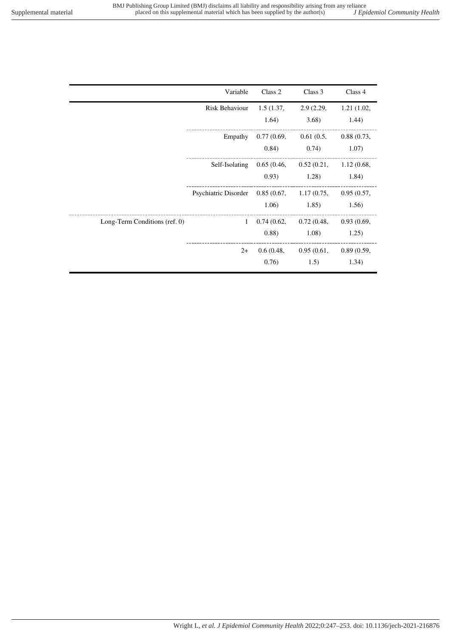| J Epidemiol Community Heali |  |  |
|-----------------------------|--|--|
|                             |  |  |

|                               | Variable                                                 | Class 2   | Class 3                                                     | Class 4    |
|-------------------------------|----------------------------------------------------------|-----------|-------------------------------------------------------------|------------|
|                               | Risk Behaviour                                           | 1.5(1.37, | 2.9 (2.29,                                                  | 1.21(1.02, |
|                               |                                                          | 1.64)     | 3.68)                                                       | 1.44)      |
|                               |                                                          |           | Empathy $0.77(0.69, 0.61(0.5, 0.88(0.73,$                   |            |
|                               |                                                          | (0.84)    | 0.74)                                                       | 1.07)      |
|                               |                                                          |           | Self-Isolating 0.65 (0.46, 0.52 (0.21, 1.12 (0.68,          |            |
|                               |                                                          |           | $(0.93)$ 1.28)                                              | 1.84)      |
|                               | Psychiatric Disorder 0.85 (0.67, 1.17 (0.75, 0.95 (0.57, |           |                                                             |            |
|                               |                                                          |           | $1.06$ $1.85$                                               | 1.56       |
| Long-Term Conditions (ref. 0) |                                                          |           | $1\quad 0.74\ (0.62, \quad 0.72\ (0.48, \quad 0.93\ (0.69,$ |            |
|                               |                                                          |           | $(0.88)$ $(1.08)$ $(1.25)$                                  |            |
|                               | $2+$                                                     |           | 0.6(0.48, 0.95(0.61, 0.89(0.59,                             |            |
|                               |                                                          | 0.76)     | 1.5)                                                        | 1.34)      |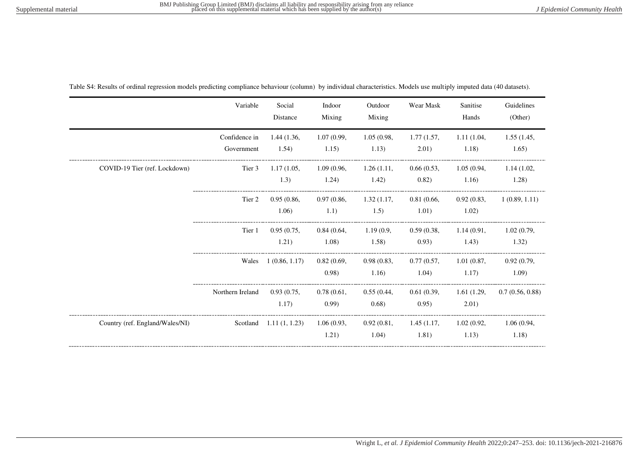|                                 | Variable                    | Social<br>Distance                    | Indoor<br>Mixing     | Outdoor<br>Mixing   | Wear Mask                                 | Sanitise<br>Hands   | Guidelines<br>(Other) |
|---------------------------------|-----------------------------|---------------------------------------|----------------------|---------------------|-------------------------------------------|---------------------|-----------------------|
|                                 | Confidence in<br>Government | 1.44(1.36,<br>1.54)                   | 1.07(0.99,<br>1.15)  | 1.05(0.98,<br>1.13) | 1.77(1.57,<br>2.01)                       | 1.11(1.04,<br>1.18) | 1.55(1.45,<br>1.65)   |
| COVID-19 Tier (ref. Lockdown)   | Tier 3                      | 1.17(1.05,<br>1.3)                    | 1.09(0.96,<br>1.24)  | 1.26(1.11,<br>1.42) | 0.66(0.53,<br>(0.82)                      | 1.05(0.94,<br>1.16) | 1.14(1.02,<br>1.28)   |
|                                 | Tier 2                      | 0.95(0.86,<br>1.06)                   | 0.97(0.86,<br>1.1)   | 1.32(1.17,<br>1.5)  | 0.81(0.66,<br>1.01)                       | 0.92(0.83,<br>1.02) | 1(0.89, 1.11)         |
|                                 | Tier 1                      | 0.95(0.75,<br>1.21)                   | 0.84(0.64,<br>1.08)  | 1.19(0.9,<br>1.58)  | 0.59(0.38,<br>0.93)                       | 1.14(0.91,<br>1.43) | 1.02(0.79,<br>1.32)   |
|                                 | Wales                       | 1(0.86, 1.17)                         | 0.82(0.69,<br>(0.98) | 0.98(0.83,<br>1.16) | 0.77(0.57,<br>1.04)                       | 1.01(0.87,<br>1.17) | 0.92(0.79,<br>1.09    |
|                                 | Northern Ireland            | 0.93(0.75,<br>1.17)                   | 0.78(0.61,<br>(0.99) | 0.55(0.44,<br>0.68) | 0.61(0.39)<br>(0.95)                      | 1.61(1.29,<br>2.01) | 0.7(0.56, 0.88)       |
| Country (ref. England/Wales/NI) |                             | Scotland $1.11(1, 1.23)$ $1.06(0.93,$ | 1.21)                | 1.04)               | 0.92(0.81, 1.45(1.17, 1.02(0.92,<br>1.81) | 1.13)               | 1.06(0.94,<br>1.18)   |

Table S4: Results of ordinal regression models predicting compliance behaviour (column) by individual characteristics. Models use multiply imputed data (40 datasets).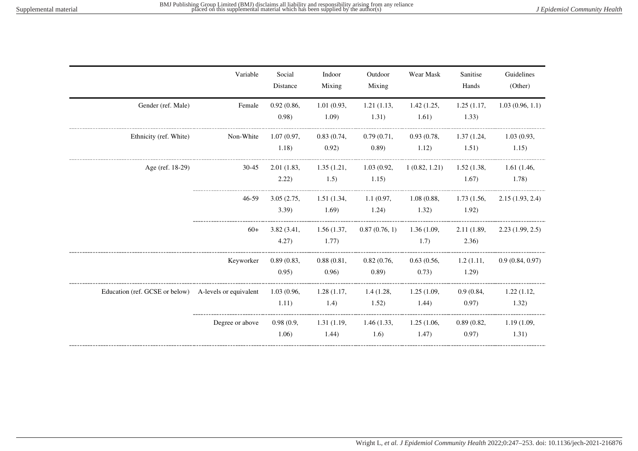|                                                                   | Variable        | Social<br>Distance  | Indoor<br>Mixing     | Outdoor<br>Mixing             | Wear Mask           | Sanitise<br>Hands   | Guidelines<br>(Other) |
|-------------------------------------------------------------------|-----------------|---------------------|----------------------|-------------------------------|---------------------|---------------------|-----------------------|
| Gender (ref. Male)                                                | Female          | 0.92(0.86,<br>0.98) | 1.01(0.93,<br>1.09)  | 1.21(1.13,<br>1.31)           | 1.42(1.25,<br>1.61) | 1.25(1.17,<br>1.33) | 1.03(0.96, 1.1)       |
| Ethnicity (ref. White)                                            | Non-White       | 1.07(0.97,<br>1.18) | 0.83(0.74,<br>0.92)  | 0.79(0.71,<br>(0.89)          | 0.93(0.78,<br>1.12) | 1.37(1.24,<br>1.51) | 1.03(0.93,<br>1.15)   |
| Age (ref. 18-29)                                                  | 30-45           | 2.01(1.83,<br>2.22) | 1.35(1.21,<br>1.5)   | 1.03(0.92,<br>1.15)           | 1(0.82, 1.21)       | 1.52(1.38,<br>1.67) | 1.61(1.46,<br>1.78)   |
|                                                                   | 46-59           | 3.05(2.75,<br>3.39  | 1.51 (1.34,<br>1.69) | 1.1(0.97, 1.08(0.88,<br>1.24) | 1.32)               | 1.73(1.56,<br>1.92) | 2.15(1.93, 2.4)       |
|                                                                   | $60+$           | 3.82(3.41,<br>4.27) | 1.56(1.37,<br>1.77)  | $0.87(0.76, 1)$ 1.36 (1.09,   | 1.7)                | 2.11(1.89,<br>2.36) | 2.23(1.99, 2.5)       |
|                                                                   | Keyworker       | 0.89(0.83,<br>0.95) | 0.88(0.81,<br>0.96)  | 0.82(0.76,<br>(0.89)          | 0.63(0.56,<br>0.73) | 1.2(1.11,<br>1.29   | 0.9(0.84, 0.97)       |
| Education (ref. GCSE or below) A-levels or equivalent 1.03 (0.96, |                 | 1.11)               | 1.28(1.17,<br>1.4)   | 1.4(1.28,<br>1.52)            | 1.25(1.09,<br>1.44) | 0.9(0.84,<br>0.97)  | 1.22(1.12,<br>1.32)   |
|                                                                   | Degree or above | 0.98(0.9,<br>1.06)  | 1.31(1.19,<br>1.44)  | 1.46(1.33,<br>1.6)            | 1.25(1.06,<br>1.47) | 0.89(0.82,<br>0.97) | 1.19(1.09,<br>1.31)   |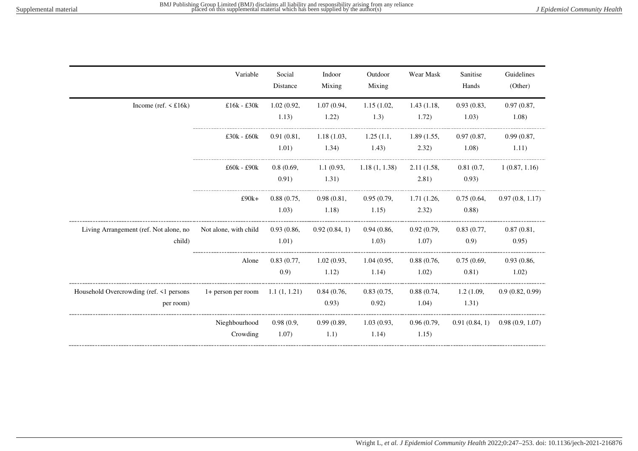|                                                      | Variable                           | Social<br>Distance  | Indoor<br>Mixing    | Outdoor<br>Mixing   | Wear Mask           | Sanitise<br>Hands    | Guidelines<br>(Other) |
|------------------------------------------------------|------------------------------------|---------------------|---------------------|---------------------|---------------------|----------------------|-----------------------|
| Income (ref. $\leq$ £16k)                            | £16 $k$ - £30 $k$                  | 1.02(0.92,<br>1.13) | 1.07(0.94,<br>1.22) | 1.15(1.02,<br>1.3)  | 1.43(1.18,<br>1.72) | 0.93(0.83,<br>1.03)  | 0.97(0.87,<br>1.08)   |
|                                                      | $£30k - £60k$                      | 0.91(0.81,<br>1.01) | 1.18(1.03,<br>1.34) | 1.25(1.1,<br>1.43)  | 1.89(1.55,<br>2.32) | 0.97(0.87,<br>1.08)  | 0.99(0.87,<br>1.11)   |
|                                                      | $£60k - £90k$                      | 0.8(0.69,<br>0.91)  | 1.1(0.93,<br>1.31)  | 1.18(1, 1.38)       | 2.11(1.58,<br>2.81) | 0.81(0.7,<br>0.93)   | 1(0.87, 1.16)         |
|                                                      | $£90k+$                            | 0.88(0.75,<br>1.03) | 0.98(0.81,<br>1.18) | 0.95(0.79,<br>1.15) | 1.71(1.26,<br>2.32) | 0.75(0.64,<br>(0.88) | 0.97(0.8, 1.17)       |
| Living Arrangement (ref. Not alone, no<br>child)     | Not alone, with child              | 0.93(0.86,<br>1.01) | 0.92(0.84, 1)       | 0.94(0.86,<br>1.03) | 0.92(0.79,<br>1.07) | 0.83(0.77,<br>(0.9)  | 0.87(0.81,<br>0.95)   |
|                                                      | Alone                              | 0.83(0.77,<br>(0.9) | 1.02(0.93,<br>1.12) | 1.04(0.95,<br>1.14) | 0.88(0.76,<br>1.02) | 0.75(0.69,<br>0.81)  | 0.93(0.86,<br>1.02)   |
| Household Overcrowding (ref. <1 persons<br>per room) | 1+ person per room $1.1 (1, 1.21)$ |                     | 0.84(0.76,<br>0.93) | 0.83(0.75,<br>0.92) | 0.88(0.74,<br>1.04) | 1.2(1.09,<br>1.31)   | 0.9(0.82, 0.99)       |
|                                                      | Nieghbourhood<br>Crowding          | 0.98(0.9,<br>1.07)  | 0.99(0.89,<br>1.1)  | 1.03(0.93,<br>1.14) | 0.96(0.79,<br>1.15) | 0.91(0.84, 1)        | 0.98(0.9, 1.07)       |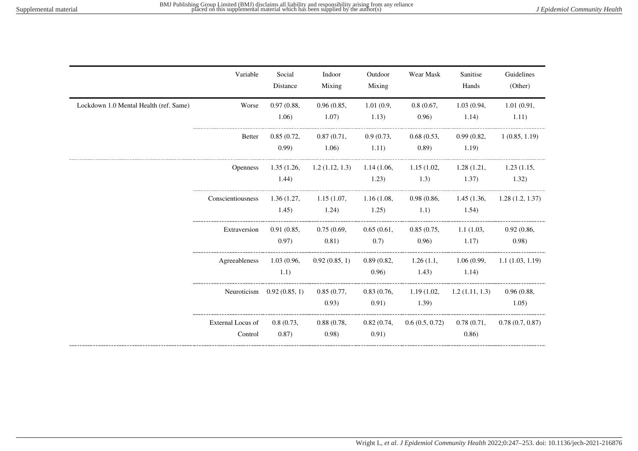|                                        | Variable                     | Social<br>Distance         | Indoor<br>Mixing     | Outdoor<br>Mixing   | Wear Mask                     | Sanitise<br>Hands             | Guidelines<br>(Other) |
|----------------------------------------|------------------------------|----------------------------|----------------------|---------------------|-------------------------------|-------------------------------|-----------------------|
| Lockdown 1.0 Mental Health (ref. Same) | Worse                        | 0.97(0.88,<br>1.06)        | 0.96(0.85,<br>1.07)  | 1.01(0.9,<br>1.13)  | 0.8(0.67,<br>0.96)            | 1.03(0.94,<br>1.14)           | 1.01(0.91,<br>1.11)   |
|                                        | <b>Better</b>                | 0.85(0.72,<br>(0.99)       | 0.87(0.71,<br>1.06)  | 0.9(0.73,<br>1.11)  | 0.68(0.53,<br>(0.89)          | 0.99(0.82,<br>1.19)           | 1(0.85, 1.19)         |
|                                        | <b>Openness</b>              | 1.35(1.26,<br>1.44)        | 1.2(1.12, 1.3)       | 1.23)               | 1.14(1.06, 1.15(1.02,<br>1.3) | 1.28(1.21,<br>1.37)           | 1.23(1.15,<br>1.32)   |
|                                        | Conscientiousness            | 1.36(1.27,<br>1.45)        | 1.15(1.07,<br>1.24)  | 1.16(1.08,<br>1.25) | 0.98(0.86,<br>1.1)            | 1.45(1.36,<br>1.54)           | 1.28(1.2, 1.37)       |
|                                        | Extraversion                 | 0.91(0.85,<br>(0.97)       | 0.75(0.69,<br>0.81)  | 0.65(0.61,<br>0.7)  | 0.85(0.75,<br>0.96)           | 1.1(1.03,<br>1.17)            | 0.92(0.86,<br>(0.98)  |
|                                        | Agreeableness                | 1.03(0.96,<br>1.1)         | 0.92(0.85, 1)        | 0.89(0.82,<br>0.96) | 1.43)                         | 1.26(1.1, 1.06(0.99,<br>1.14) | 1.1(1.03, 1.19)       |
|                                        |                              | Neuroticism 0.92 (0.85, 1) | 0.85(0.77,<br>0.93)  | 0.83(0.76,<br>0.91) | 1.19(1.02,<br>1.39)           | 1.2(1.11, 1.3)                | 0.96(0.88,<br>1.05)   |
|                                        | External Locus of<br>Control | 0.8(0.73,<br>0.87)         | 0.88(0.78,<br>(0.98) | 0.91)               | 0.82(0.74, 0.6(0.5, 0.72)     | 0.78(0.71,<br>0.86)           | 0.78(0.7, 0.87)       |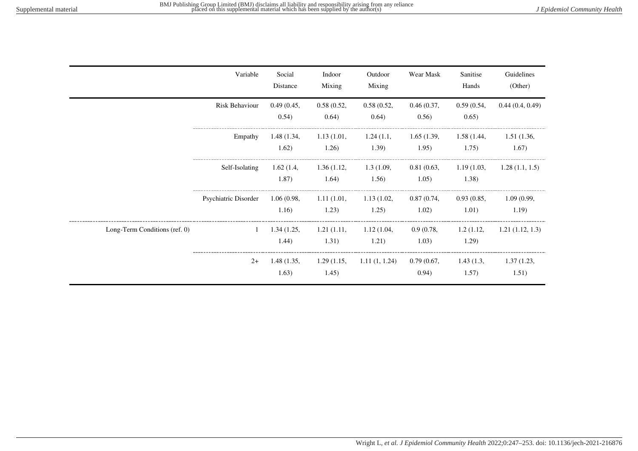|                               | Variable             | Social<br>Distance  | Indoor<br>Mixing    | Outdoor<br>Mixing   | Wear Mask            | Sanitise<br>Hands   | Guidelines<br>(Other) |
|-------------------------------|----------------------|---------------------|---------------------|---------------------|----------------------|---------------------|-----------------------|
|                               | Risk Behaviour       | 0.49(0.45,<br>0.54) | 0.58(0.52,<br>0.64) | 0.58(0.52,<br>0.64) | 0.46(0.37,<br>0.56)  | 0.59(0.54,<br>0.65) | 0.44(0.4, 0.49)       |
|                               | Empathy              | 1.48(1.34,<br>1.62) | 1.13(1.01,<br>1.26) | 1.24(1.1,<br>1.39)  | 1.65(1.39,<br>1.95)  | 1.58(1.44,<br>1.75) | 1.51(1.36,<br>1.67)   |
|                               | Self-Isolating       | 1.62(1.4,<br>1.87)  | 1.36(1.12,<br>1.64) | 1.3(1.09,<br>1.56)  | 0.81(0.63,<br>1.05)  | 1.19(1.03,<br>1.38) | 1.28(1.1, 1.5)        |
|                               | Psychiatric Disorder | 1.06(0.98,<br>1.16) | 1.11(1.01,<br>1.23) | 1.13(1.02,<br>1.25) | 0.87(0.74,<br>1.02)  | 0.93(0.85,<br>1.01) | 1.09(0.99,<br>1.19)   |
| Long-Term Conditions (ref. 0) | $\mathbf{1}$         | 1.34(1.25,<br>1.44) | 1.21(1.11,<br>1.31) | 1.12(1.04,<br>1.21) | 0.9(0.78,<br>1.03)   | 1.2(1.12,<br>1.29)  | 1.21(1.12, 1.3)       |
|                               | $2+$                 | 1.48(1.35,<br>1.63) | 1.29(1.15,<br>1.45) | 1.11(1, 1.24)       | 0.79(0.67,<br>(0.94) | 1.43(1.3,<br>1.57)  | 1.37(1.23,<br>1.51)   |